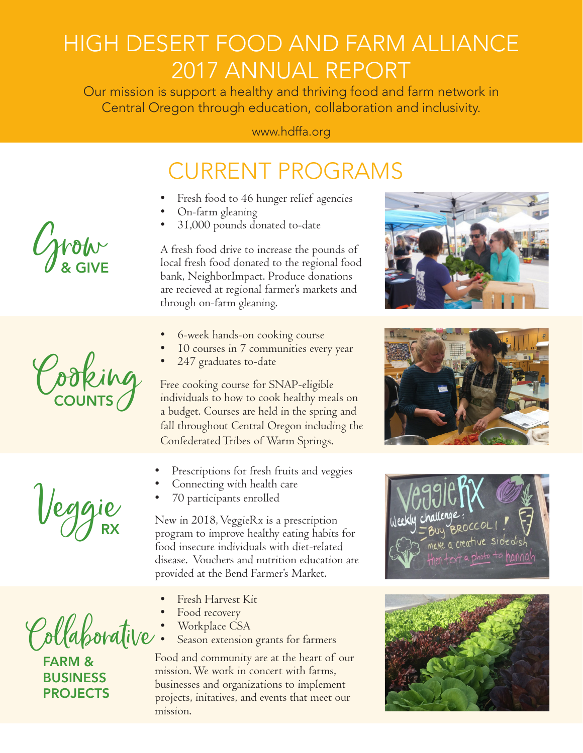# HIGH DESERT FOOD AND FARM ALLIANCE 2017 ANNUAL REPORT

Our mission is support a healthy and thriving food and farm network in Central Oregon through education, collaboration and inclusivity.

### www.hdffa.org

### CURRENT PROGRAMS

- Fresh food to 46 hunger relief agencies
- On-farm gleaning
- 31,000 pounds donated to-date

A fresh food drive to increase the pounds of local fresh food donated to the regional food bank, NeighborImpact. Produce donations are recieved at regional farmer's markets and through on-farm gleaning.

- 6-week hands-on cooking course
- 10 courses in 7 communities every year
- 247 graduates to-date

Free cooking course for SNAP-eligible individuals to how to cook healthy meals on a budget. Courses are held in the spring and fall throughout Central Oregon including the Confederated Tribes of Warm Springs.

- Prescriptions for fresh fruits and veggies
- Connecting with health care
- 70 participants enrolled

New in 2018, VeggieRx is a prescription program to improve healthy eating habits for food insecure individuals with diet-related disease. Vouchers and nutrition education are provided at the Bend Farmer's Market.

- Fresh Harvest Kit
- Food recovery
- Workplace CSA
- Season extension grants for farmers

Food and community are at the heart of our mission. We work in concert with farms, businesses and organizations to implement projects, initatives, and events that meet our mission.











Veggie

Cooking

# Collaborative

FARM & BUSINESS **PROJECTS**